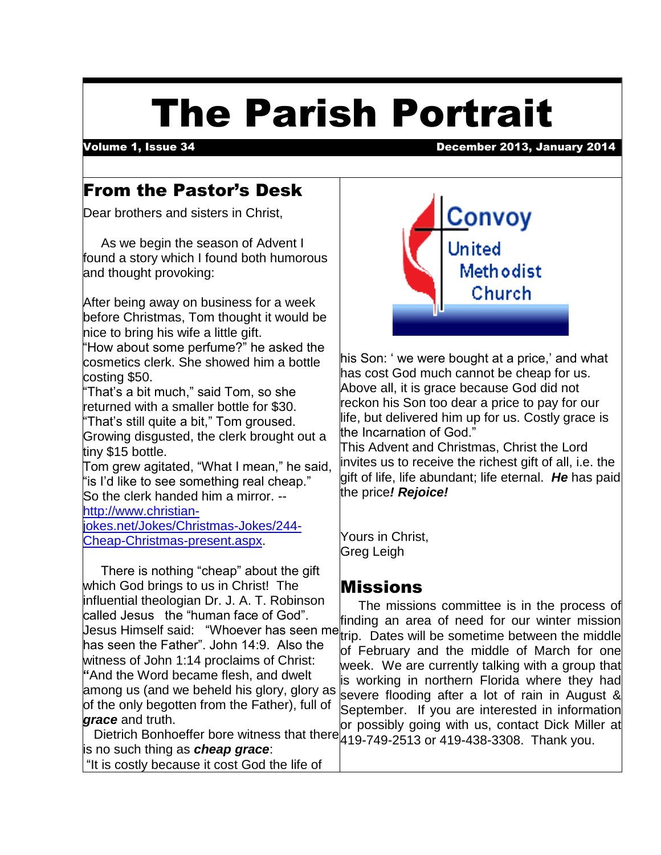# The Parish Portrait

 $\overline{\phantom{a}}$ 

#### Volume 1, Issue 34 December 2013, January 2014

#### From the Pastor's Desk

Dear brothers and sisters in Christ,

 As we begin the season of Advent I found a story which I found both humorous and thought provoking:

After being away on business for a week before Christmas, Tom thought it would be nice to bring his wife a little gift.

"How about some perfume?" he asked the cosmetics clerk. She showed him a bottle costing \$50.

"That's a bit much," said Tom, so she returned with a smaller bottle for \$30.

"That's still quite a bit," Tom groused. Growing disgusted, the clerk brought out a tiny \$15 bottle.

Tom grew agitated, "What I mean," he said, "is I'd like to see something real cheap." So the clerk handed him a mirror. - [http://www.christian-](http://www.christian-jokes.net/Jokes/Christmas-Jokes/244-Cheap-Christmas-present.aspx)

[jokes.net/Jokes/Christmas-Jokes/244-](http://www.christian-jokes.net/Jokes/Christmas-Jokes/244-Cheap-Christmas-present.aspx) [Cheap-Christmas-present.aspx.](http://www.christian-jokes.net/Jokes/Christmas-Jokes/244-Cheap-Christmas-present.aspx)

 There is nothing "cheap" about the gift which God brings to us in Christ! The influential theologian Dr. J. A. T. Robinson called Jesus the "human face of God". Jesus Himself said: "Whoever has seen me has seen the Father". John 14:9. Also the witness of John 1:14 proclaims of Christ: **"**And the Word became flesh, and dwelt among us (and we beheld his glory, glory as of the only begotten from the Father), full of *grace* and truth.

is no such thing as *cheap grace*: "It is costly because it cost God the life of



his Son: ' we were bought at a price,' and what has cost God much cannot be cheap for us. Above all, it is grace because God did not reckon his Son too dear a price to pay for our life, but delivered him up for us. Costly grace is the Incarnation of God."

This Advent and Christmas, Christ the Lord invites us to receive the richest gift of all, i.e. the gift of life, life abundant; life eternal. *He* has paid the price*! Rejoice!*

Yours in Christ, Greg Leigh

#### Missions

Dietrich Bonhoeffer bore witness that there 419-749-2513 or 419-438-3308. Thank you. The missions committee is in the process of finding an area of need for our winter mission trip. Dates will be sometime between the middle of February and the middle of March for one week. We are currently talking with a group that is working in northern Florida where they had severe flooding after a lot of rain in August & September. If you are interested in information or possibly going with us, contact Dick Miller at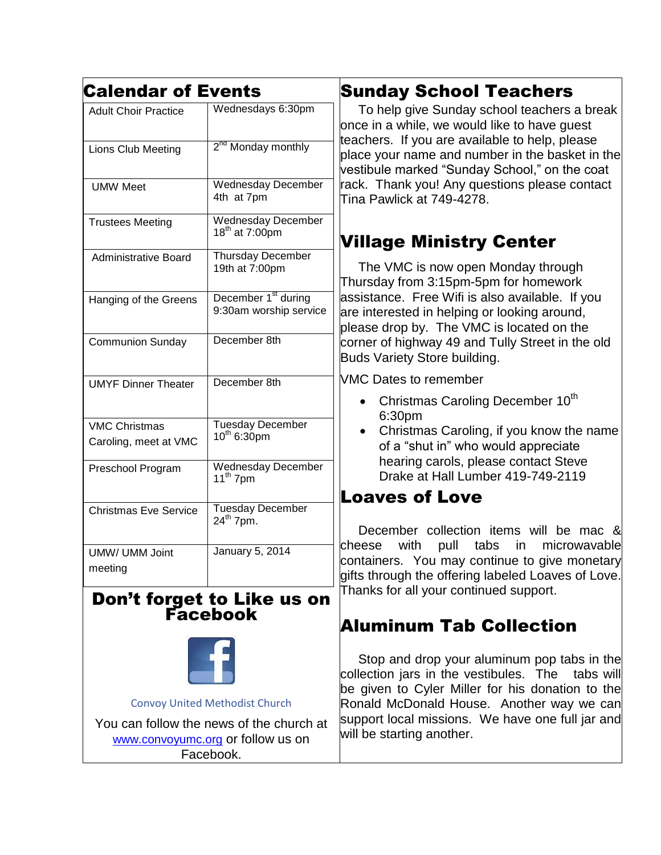| <b>Calendar of Events</b>    |                                                           | <b>Sunday School Teachers</b>                                                                                                                                                                                                                                                                                                   |
|------------------------------|-----------------------------------------------------------|---------------------------------------------------------------------------------------------------------------------------------------------------------------------------------------------------------------------------------------------------------------------------------------------------------------------------------|
| <b>Adult Choir Practice</b>  | Wednesdays 6:30pm                                         | To help give Sunday school teachers a break<br>once in a while, we would like to have quest<br>teachers. If you are available to help, please<br>place your name and number in the basket in the<br>vestibule marked "Sunday School," on the coat<br>rack. Thank you! Any questions please contact<br>Tina Pawlick at 749-4278. |
| Lions Club Meeting           | 2 <sup>nd</sup> Monday monthly                            |                                                                                                                                                                                                                                                                                                                                 |
| <b>UMW Meet</b>              | <b>Wednesday December</b><br>4th at 7pm                   |                                                                                                                                                                                                                                                                                                                                 |
| <b>Trustees Meeting</b>      | <b>Wednesday December</b><br>18 <sup>th</sup> at 7:00pm   | <b>Village Ministry Center</b>                                                                                                                                                                                                                                                                                                  |
| <b>Administrative Board</b>  | Thursday December<br>19th at 7:00pm                       | The VMC is now open Monday through<br>Thursday from 3:15pm-5pm for homework<br>assistance. Free Wifi is also available. If you<br>are interested in helping or looking around,<br>please drop by. The VMC is located on the<br>corner of highway 49 and Tully Street in the old<br><b>Buds Variety Store building.</b>          |
| Hanging of the Greens        | December 1 <sup>st</sup> during<br>9:30am worship service |                                                                                                                                                                                                                                                                                                                                 |
| <b>Communion Sunday</b>      | December 8th                                              |                                                                                                                                                                                                                                                                                                                                 |
| <b>UMYF Dinner Theater</b>   | December 8th                                              | <b>VMC Dates to remember</b><br>Christmas Caroling December 10 <sup>th</sup>                                                                                                                                                                                                                                                    |
| <b>VMC Christmas</b>         | <b>Tuesday December</b>                                   | 6:30pm<br>Christmas Caroling, if you know the name                                                                                                                                                                                                                                                                              |
| Caroling, meet at VMC        | $10^{th}$ 6:30pm                                          | of a "shut in" who would appreciate<br>hearing carols, please contact Steve                                                                                                                                                                                                                                                     |
| Preschool Program            | <b>Wednesday December</b><br>$11^{th}$ 7pm                | Drake at Hall Lumber 419-749-2119                                                                                                                                                                                                                                                                                               |
| <b>Christmas Eve Service</b> | <b>Tuesday December</b>                                   | <b>Loaves of Love</b>                                                                                                                                                                                                                                                                                                           |
|                              | $24^{\text{th}}$ 7pm.                                     | December collection items will be mac &                                                                                                                                                                                                                                                                                         |
| UMW/ UMM Joint<br>meeting    | <b>January 5, 2014</b>                                    | cheese<br>with<br>pull<br>tabs<br>microwavable<br>in<br>containers. You may continue to give monetary<br>gifts through the offering labeled Loaves of Love.                                                                                                                                                                     |
|                              | Don't forget to Like us on<br><b>Facebook</b>             | Thanks for all your continued support.                                                                                                                                                                                                                                                                                          |



[Convoy United Methodist Church](https://www.facebook.com/ConvoyUnitedMethodistChurch)

You can follow the news of the church at [www.convoyumc.org](http://www.convoyumc.org/) or follow us on Facebook.

# Aluminum Tab Collection

 $\overline{\phantom{a}}$ Stop and drop your aluminum pop tabs in the collection jars in the vestibules. The tabs will be given to Cyler Miller for his donation to the Ronald McDonald House. Another way we can support local missions. We have one full jar and will be starting another.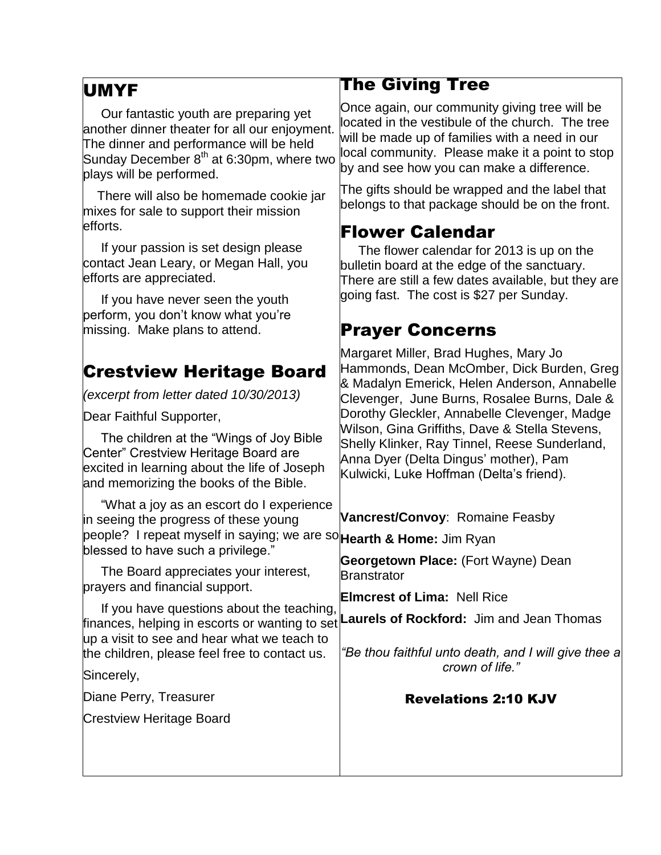#### UMYF

 Our fantastic youth are preparing yet another dinner theater for all our enjoyment. The dinner and performance will be held Sunday December  $8<sup>th</sup>$  at 6:30pm, where two plays will be performed.

 There will also be homemade cookie jar mixes for sale to support their mission efforts.

 If your passion is set design please contact Jean Leary, or Megan Hall, you efforts are appreciated.

 If you have never seen the youth perform, you don't know what you're missing. Make plans to attend.

# Crestview Heritage Board

*(excerpt from letter dated 10/30/2013)*

Dear Faithful Supporter,

 The children at the "Wings of Joy Bible Center" Crestview Heritage Board are excited in learning about the life of Joseph and memorizing the books of the Bible.

 "What a joy as an escort do I experience in seeing the progress of these young people? I repeat myself in saying; we are so**Hearth & Home:** Jim Ryan blessed to have such a privilege."

 The Board appreciates your interest, prayers and financial support.

 If you have questions about the teaching, finances, helping in escorts or wanting to set **Laurels of Rockford:** Jim and Jean Thomas up a visit to see and hear what we teach to the children, please feel free to contact us.

Sincerely,

Diane Perry, Treasurer

Crestview Heritage Board

#### The Giving Tree

Once again, our community giving tree will be located in the vestibule of the church. The tree will be made up of families with a need in our local community. Please make it a point to stop by and see how you can make a difference.

The gifts should be wrapped and the label that belongs to that package should be on the front.

### Flower Calendar

 The flower calendar for 2013 is up on the bulletin board at the edge of the sanctuary. There are still a few dates available, but they are going fast. The cost is \$27 per Sunday.

# Prayer Concerns

Margaret Miller, Brad Hughes, Mary Jo Hammonds, Dean McOmber, Dick Burden, Greg & Madalyn Emerick, Helen Anderson, Annabelle Clevenger, June Burns, Rosalee Burns, Dale & Dorothy Gleckler, Annabelle Clevenger, Madge Wilson, Gina Griffiths, Dave & Stella Stevens, Shelly Klinker, Ray Tinnel, Reese Sunderland, Anna Dyer (Delta Dingus' mother), Pam Kulwicki, Luke Hoffman (Delta's friend).

**Vancrest/Convoy**: Romaine Feasby

**Georgetown Place:** (Fort Wayne) Dean **Branstrator** 

**Elmcrest of Lima:** Nell Rice

*"Be thou faithful unto death, and I will give thee a crown of life."*

#### Revelations 2:10 KJV